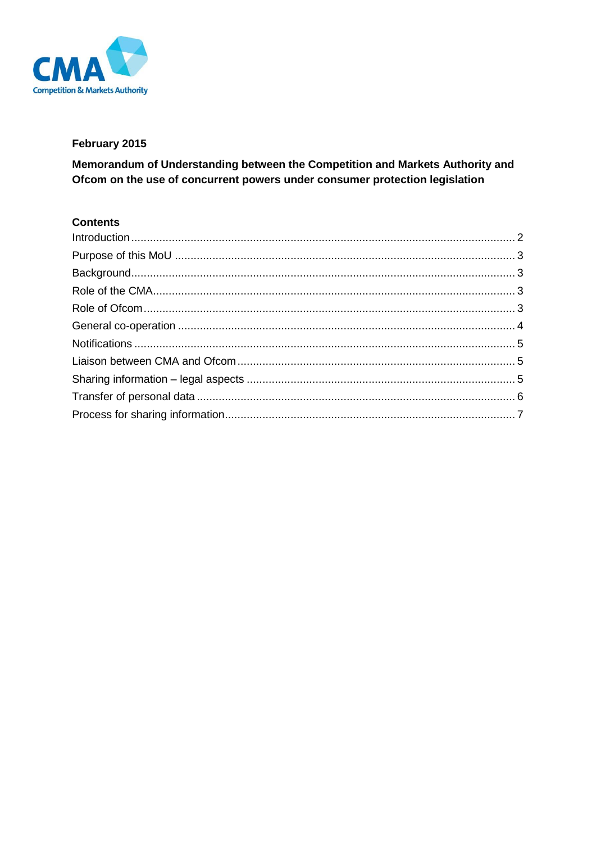

# February 2015

Memorandum of Understanding between the Competition and Markets Authority and Ofcom on the use of concurrent powers under consumer protection legislation

# **Contents**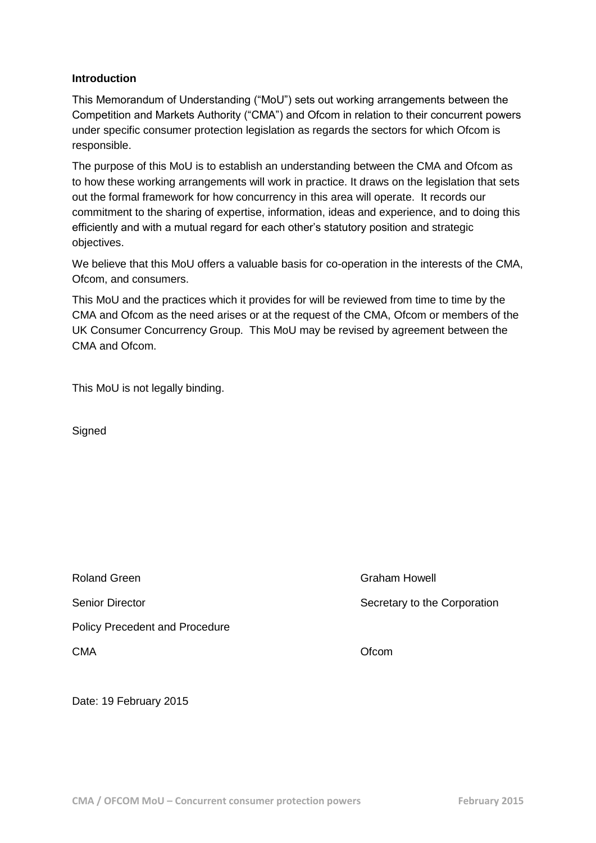#### <span id="page-1-0"></span>**Introduction**

This Memorandum of Understanding ("MoU") sets out working arrangements between the Competition and Markets Authority ("CMA") and Ofcom in relation to their concurrent powers under specific consumer protection legislation as regards the sectors for which Ofcom is responsible.

The purpose of this MoU is to establish an understanding between the CMA and Ofcom as to how these working arrangements will work in practice. It draws on the legislation that sets out the formal framework for how concurrency in this area will operate. It records our commitment to the sharing of expertise, information, ideas and experience, and to doing this efficiently and with a mutual regard for each other's statutory position and strategic objectives.

We believe that this MoU offers a valuable basis for co-operation in the interests of the CMA, Ofcom, and consumers.

This MoU and the practices which it provides for will be reviewed from time to time by the CMA and Ofcom as the need arises or at the request of the CMA, Ofcom or members of the UK Consumer Concurrency Group. This MoU may be revised by agreement between the CMA and Ofcom.

This MoU is not legally binding.

**Signed** 

Roland Green **Graham Howell Craham Howell** Senior Director Secretary to the Corporation Policy Precedent and Procedure CMA Ofcom

Date: 19 February 2015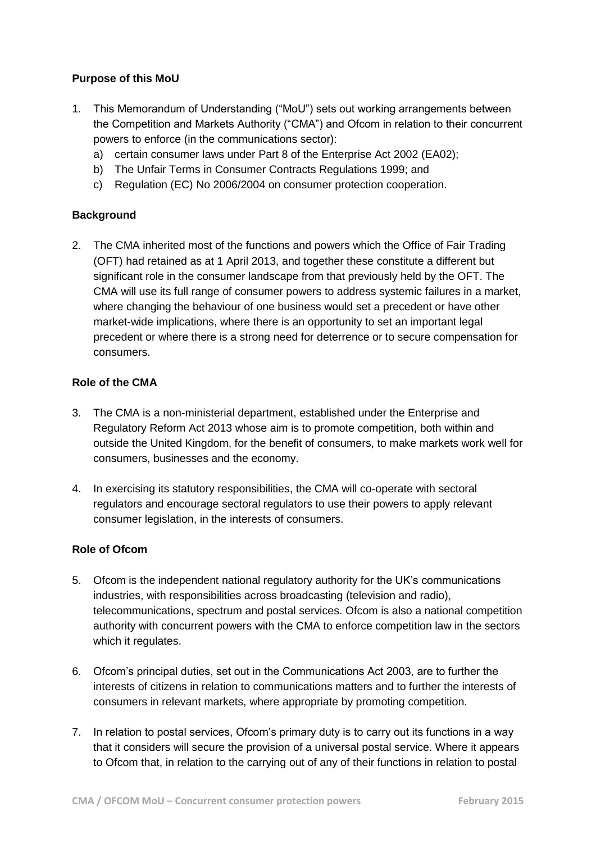## <span id="page-2-0"></span>**Purpose of this MoU**

- 1. This Memorandum of Understanding ("MoU") sets out working arrangements between the Competition and Markets Authority ("CMA") and Ofcom in relation to their concurrent powers to enforce (in the communications sector):
	- a) certain consumer laws under Part 8 of the Enterprise Act 2002 (EA02);
	- b) The Unfair Terms in Consumer Contracts Regulations 1999; and
	- c) Regulation (EC) No 2006/2004 on consumer protection cooperation.

## <span id="page-2-1"></span>**Background**

2. The CMA inherited most of the functions and powers which the Office of Fair Trading (OFT) had retained as at 1 April 2013, and together these constitute a different but significant role in the consumer landscape from that previously held by the OFT. The CMA will use its full range of consumer powers to address systemic failures in a market, where changing the behaviour of one business would set a precedent or have other market-wide implications, where there is an opportunity to set an important legal precedent or where there is a strong need for deterrence or to secure compensation for consumers.

#### <span id="page-2-2"></span>**Role of the CMA**

- 3. The CMA is a non-ministerial department, established under the Enterprise and Regulatory Reform Act 2013 whose aim is to promote competition, both within and outside the United Kingdom, for the benefit of consumers, to make markets work well for consumers, businesses and the economy.
- 4. In exercising its statutory responsibilities, the CMA will co-operate with sectoral regulators and encourage sectoral regulators to use their powers to apply relevant consumer legislation, in the interests of consumers.

#### <span id="page-2-3"></span>**Role of Ofcom**

- 5. Ofcom is the independent national regulatory authority for the UK's communications industries, with responsibilities across broadcasting (television and radio), telecommunications, spectrum and postal services. Ofcom is also a national competition authority with concurrent powers with the CMA to enforce competition law in the sectors which it regulates.
- 6. Ofcom's principal duties, set out in the Communications Act 2003, are to further the interests of citizens in relation to communications matters and to further the interests of consumers in relevant markets, where appropriate by promoting competition.
- 7. In relation to postal services, Ofcom's primary duty is to carry out its functions in a way that it considers will secure the provision of a universal postal service. Where it appears to Ofcom that, in relation to the carrying out of any of their functions in relation to postal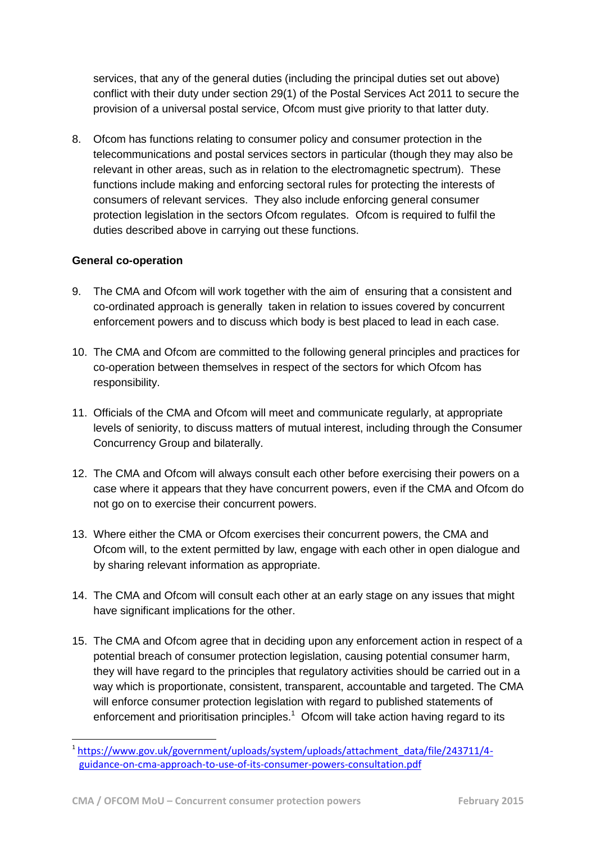services, that any of the general duties (including the principal duties set out above) conflict with their duty under section 29(1) of the Postal Services Act 2011 to secure the provision of a universal postal service, Ofcom must give priority to that latter duty.

8. Ofcom has functions relating to consumer policy and consumer protection in the telecommunications and postal services sectors in particular (though they may also be relevant in other areas, such as in relation to the electromagnetic spectrum). These functions include making and enforcing sectoral rules for protecting the interests of consumers of relevant services. They also include enforcing general consumer protection legislation in the sectors Ofcom regulates. Ofcom is required to fulfil the duties described above in carrying out these functions.

## <span id="page-3-0"></span>**General co-operation**

-

- 9. The CMA and Ofcom will work together with the aim of ensuring that a consistent and co-ordinated approach is generally taken in relation to issues covered by concurrent enforcement powers and to discuss which body is best placed to lead in each case.
- 10. The CMA and Ofcom are committed to the following general principles and practices for co-operation between themselves in respect of the sectors for which Ofcom has responsibility.
- 11. Officials of the CMA and Ofcom will meet and communicate regularly, at appropriate levels of seniority, to discuss matters of mutual interest, including through the Consumer Concurrency Group and bilaterally.
- 12. The CMA and Ofcom will always consult each other before exercising their powers on a case where it appears that they have concurrent powers, even if the CMA and Ofcom do not go on to exercise their concurrent powers.
- 13. Where either the CMA or Ofcom exercises their concurrent powers, the CMA and Ofcom will, to the extent permitted by law, engage with each other in open dialogue and by sharing relevant information as appropriate.
- 14. The CMA and Ofcom will consult each other at an early stage on any issues that might have significant implications for the other.
- 15. The CMA and Ofcom agree that in deciding upon any enforcement action in respect of a potential breach of consumer protection legislation, causing potential consumer harm, they will have regard to the principles that regulatory activities should be carried out in a way which is proportionate, consistent, transparent, accountable and targeted. The CMA will enforce consumer protection legislation with regard to published statements of enforcement and prioritisation principles. $1$  Ofcom will take action having regard to its

<sup>1</sup> [https://www.gov.uk/government/uploads/system/uploads/attachment\\_data/file/243711/4](https://www.gov.uk/government/uploads/system/uploads/attachment_data/file/243711/4-guidance-on-cma-approach-to-use-of-its-consumer-powers-consultation.pdf) [guidance-on-cma-approach-to-use-of-its-consumer-powers-consultation.pdf](https://www.gov.uk/government/uploads/system/uploads/attachment_data/file/243711/4-guidance-on-cma-approach-to-use-of-its-consumer-powers-consultation.pdf)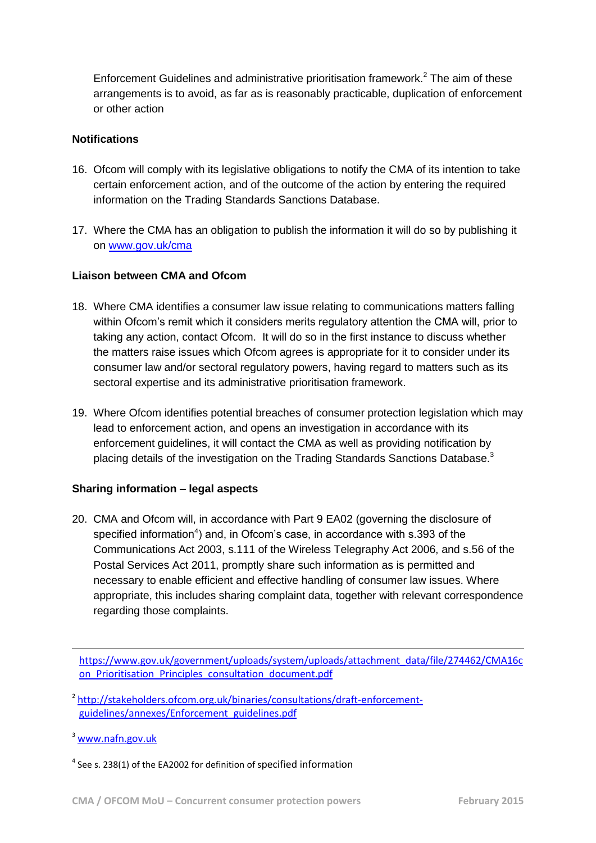Enforcement Guidelines and administrative prioritisation framework.<sup>2</sup> The aim of these arrangements is to avoid, as far as is reasonably practicable, duplication of enforcement or other action

### <span id="page-4-0"></span>**Notifications**

- 16. Ofcom will comply with its legislative obligations to notify the CMA of its intention to take certain enforcement action, and of the outcome of the action by entering the required information on the Trading Standards Sanctions Database.
- 17. Where the CMA has an obligation to publish the information it will do so by publishing it on [www.gov.uk/cma](http://www.gov.uk/cma)

## <span id="page-4-1"></span>**Liaison between CMA and Ofcom**

- 18. Where CMA identifies a consumer law issue relating to communications matters falling within Ofcom's remit which it considers merits regulatory attention the CMA will, prior to taking any action, contact Ofcom. It will do so in the first instance to discuss whether the matters raise issues which Ofcom agrees is appropriate for it to consider under its consumer law and/or sectoral regulatory powers, having regard to matters such as its sectoral expertise and its administrative prioritisation framework.
- 19. Where Ofcom identifies potential breaches of consumer protection legislation which may lead to enforcement action, and opens an investigation in accordance with its enforcement guidelines, it will contact the CMA as well as providing notification by placing details of the investigation on the Trading Standards Sanctions Database. $3$

#### <span id="page-4-2"></span>**Sharing information – legal aspects**

20. CMA and Ofcom will, in accordance with Part 9 EA02 (governing the disclosure of specified information<sup>4</sup>) and, in Ofcom's case, in accordance with s.393 of the Communications Act 2003, s.111 of the Wireless Telegraphy Act 2006, and s.56 of the Postal Services Act 2011, promptly share such information as is permitted and necessary to enable efficient and effective handling of consumer law issues. Where appropriate, this includes sharing complaint data, together with relevant correspondence regarding those complaints.

[https://www.gov.uk/government/uploads/system/uploads/attachment\\_data/file/274462/CMA16c](https://www.gov.uk/government/uploads/system/uploads/attachment_data/file/274462/CMA16con_Prioritisation_Principles_consultation_document.pdf) [on\\_Prioritisation\\_Principles\\_consultation\\_document.pdf](https://www.gov.uk/government/uploads/system/uploads/attachment_data/file/274462/CMA16con_Prioritisation_Principles_consultation_document.pdf)

<sup>2</sup> [http://stakeholders.ofcom.org.uk/binaries/consultations/draft-enforcement](http://stakeholders.ofcom.org.uk/binaries/consultations/draft-enforcement-guidelines/annexes/Enforcement_guidelines.pdf)[guidelines/annexes/Enforcement\\_guidelines.pdf](http://stakeholders.ofcom.org.uk/binaries/consultations/draft-enforcement-guidelines/annexes/Enforcement_guidelines.pdf)

 $3$  www.nafn.gov.uk

-

 $<sup>4</sup>$  See s. 238(1) of the EA2002 for definition of specified information</sup>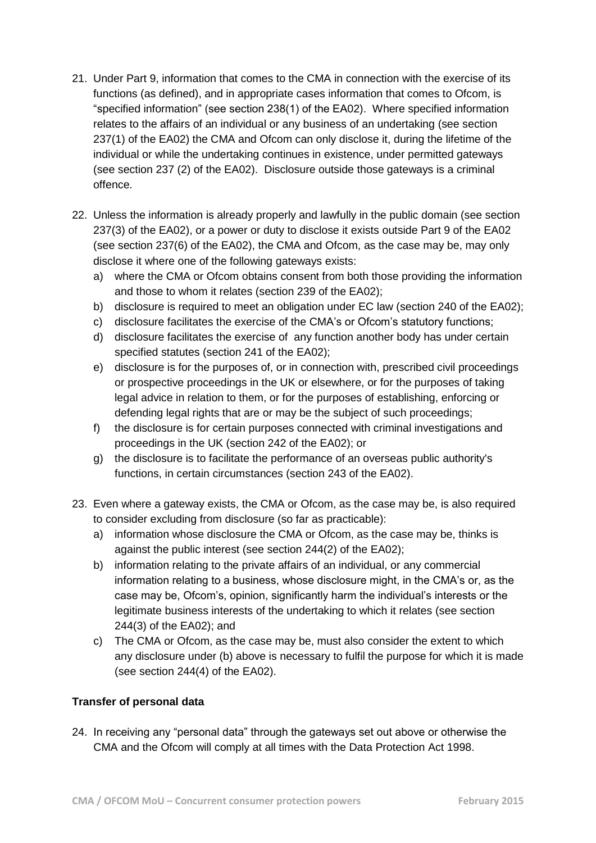- 21. Under Part 9, information that comes to the CMA in connection with the exercise of its functions (as defined), and in appropriate cases information that comes to Ofcom, is "specified information" (see section 238(1) of the EA02). Where specified information relates to the affairs of an individual or any business of an undertaking (see section 237(1) of the EA02) the CMA and Ofcom can only disclose it, during the lifetime of the individual or while the undertaking continues in existence, under permitted gateways (see section 237 (2) of the EA02). Disclosure outside those gateways is a criminal offence.
- 22. Unless the information is already properly and lawfully in the public domain (see section 237(3) of the EA02), or a power or duty to disclose it exists outside Part 9 of the EA02 (see section 237(6) of the EA02), the CMA and Ofcom, as the case may be, may only disclose it where one of the following gateways exists:
	- a) where the CMA or Ofcom obtains consent from both those providing the information and those to whom it relates (section 239 of the EA02);
	- b) disclosure is required to meet an obligation under EC law (section 240 of the EA02);
	- c) disclosure facilitates the exercise of the CMA's or Ofcom's statutory functions;
	- d) disclosure facilitates the exercise of any function another body has under certain specified statutes (section 241 of the EA02);
	- e) disclosure is for the purposes of, or in connection with, prescribed civil proceedings or prospective proceedings in the UK or elsewhere, or for the purposes of taking legal advice in relation to them, or for the purposes of establishing, enforcing or defending legal rights that are or may be the subject of such proceedings;
	- f) the disclosure is for certain purposes connected with criminal investigations and proceedings in the UK (section 242 of the EA02); or
	- g) the disclosure is to facilitate the performance of an overseas public authority's functions, in certain circumstances (section 243 of the EA02).
- 23. Even where a gateway exists, the CMA or Ofcom, as the case may be, is also required to consider excluding from disclosure (so far as practicable):
	- a) information whose disclosure the CMA or Ofcom, as the case may be, thinks is against the public interest (see section 244(2) of the EA02);
	- b) information relating to the private affairs of an individual, or any commercial information relating to a business, whose disclosure might, in the CMA's or, as the case may be, Ofcom's, opinion, significantly harm the individual's interests or the legitimate business interests of the undertaking to which it relates (see section 244(3) of the EA02); and
	- c) The CMA or Ofcom, as the case may be, must also consider the extent to which any disclosure under (b) above is necessary to fulfil the purpose for which it is made (see section 244(4) of the EA02).

# <span id="page-5-0"></span>**Transfer of personal data**

24. In receiving any "personal data" through the gateways set out above or otherwise the CMA and the Ofcom will comply at all times with the Data Protection Act 1998.